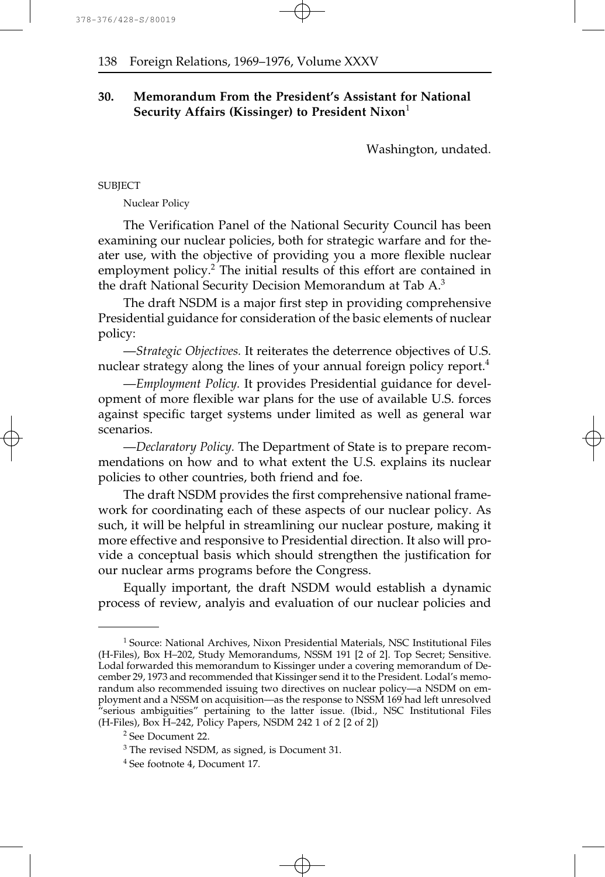# **30. Memorandum From the President's Assistant for National Security Affairs (Kissinger) to President Nixon**<sup>1</sup>

Washington, undated.

**SUBIECT** 

Nuclear Policy

The Verification Panel of the National Security Council has been examining our nuclear policies, both for strategic warfare and for theater use, with the objective of providing you a more flexible nuclear employment policy.<sup>2</sup> The initial results of this effort are contained in the draft National Security Decision Memorandum at Tab A.<sup>3</sup>

The draft NSDM is a major first step in providing comprehensive Presidential guidance for consideration of the basic elements of nuclear policy:

—*Strategic Objectives.* It reiterates the deterrence objectives of U.S. nuclear strategy along the lines of your annual foreign policy report.<sup>4</sup>

—*Employment Policy.* It provides Presidential guidance for development of more flexible war plans for the use of available U.S. forces against specific target systems under limited as well as general war scenarios.

—*Declaratory Policy.* The Department of State is to prepare recommendations on how and to what extent the U.S. explains its nuclear policies to other countries, both friend and foe.

The draft NSDM provides the first comprehensive national framework for coordinating each of these aspects of our nuclear policy. As such, it will be helpful in streamlining our nuclear posture, making it more effective and responsive to Presidential direction. It also will provide a conceptual basis which should strengthen the justification for our nuclear arms programs before the Congress.

Equally important, the draft NSDM would establish a dynamic process of review, analyis and evaluation of our nuclear policies and

<sup>&</sup>lt;sup>1</sup> Source: National Archives, Nixon Presidential Materials, NSC Institutional Files (H-Files), Box H–202, Study Memorandums, NSSM 191 [2 of 2]. Top Secret; Sensitive. Lodal forwarded this memorandum to Kissinger under a covering memorandum of December 29, 1973 and recommended that Kissinger send it to the President. Lodal's memorandum also recommended issuing two directives on nuclear policy-a NSDM on employment and a NSSM on acquisition—as the response to NSSM 169 had left unresolved "serious ambiguities" pertaining to the latter issue. (Ibid., NSC Institutional Files (H-Files), Box H–242, Policy Papers, NSDM 242 1 of 2 [2 of 2])

<sup>2</sup> See Document 22.

<sup>3</sup> The revised NSDM, as signed, is Document 31.

<sup>4</sup> See footnote 4, Document 17.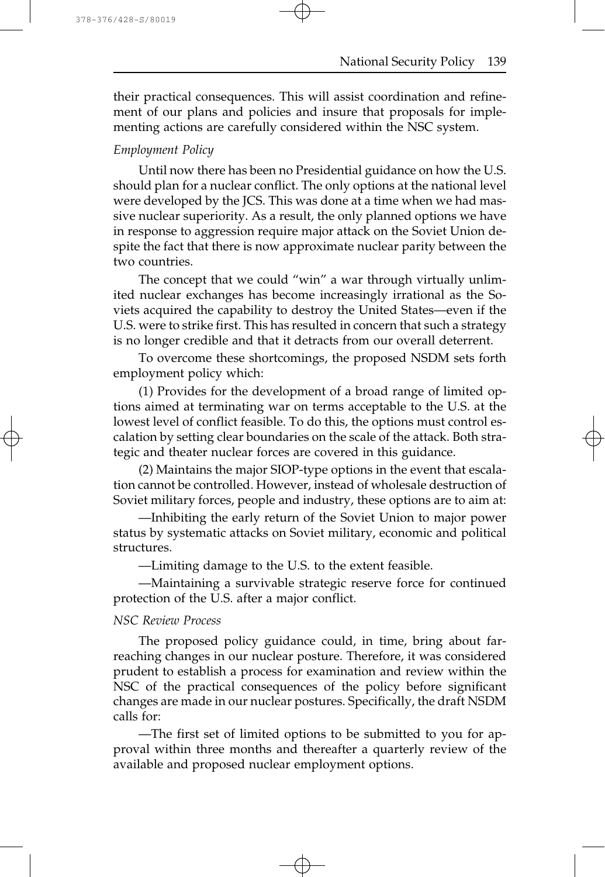their practical consequences. This will assist coordination and refinement of our plans and policies and insure that proposals for implementing actions are carefully considered within the NSC system.

# *Employment Policy*

Until now there has been no Presidential guidance on how the U.S. should plan for a nuclear conflict. The only options at the national level were developed by the JCS. This was done at a time when we had massive nuclear superiority. As a result, the only planned options we have in response to aggression require major attack on the Soviet Union despite the fact that there is now approximate nuclear parity between the two countries.

The concept that we could "win" a war through virtually unlimited nuclear exchanges has become increasingly irrational as the Soviets acquired the capability to destroy the United States—even if the U.S. were to strike first. This has resulted in concern that such a strategy is no longer credible and that it detracts from our overall deterrent.

To overcome these shortcomings, the proposed NSDM sets forth employment policy which:

(1) Provides for the development of a broad range of limited options aimed at terminating war on terms acceptable to the U.S. at the lowest level of conflict feasible. To do this, the options must control escalation by setting clear boundaries on the scale of the attack. Both strategic and theater nuclear forces are covered in this guidance.

(2) Maintains the major SIOP-type options in the event that escalation cannot be controlled. However, instead of wholesale destruction of Soviet military forces, people and industry, these options are to aim at:

—Inhibiting the early return of the Soviet Union to major power status by systematic attacks on Soviet military, economic and political structures.

—Limiting damage to the U.S. to the extent feasible.

—Maintaining a survivable strategic reserve force for continued protection of the U.S. after a major conflict.

### *NSC Review Process*

The proposed policy guidance could, in time, bring about farreaching changes in our nuclear posture. Therefore, it was considered prudent to establish a process for examination and review within the NSC of the practical consequences of the policy before significant changes are made in our nuclear postures. Specifically, the draft NSDM calls for:

—The first set of limited options to be submitted to you for approval within three months and thereafter a quarterly review of the available and proposed nuclear employment options.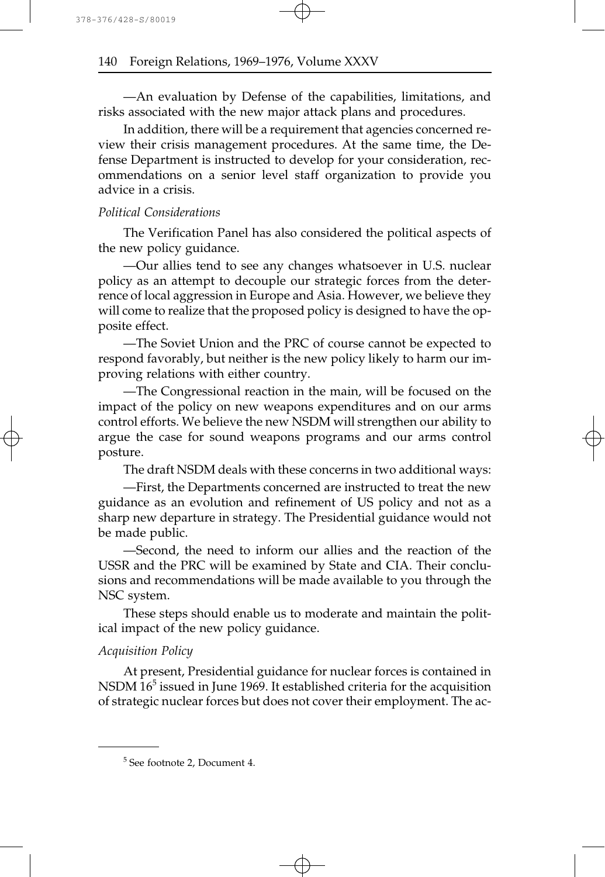—An evaluation by Defense of the capabilities, limitations, and risks associated with the new major attack plans and procedures.

In addition, there will be a requirement that agencies concerned review their crisis management procedures. At the same time, the Defense Department is instructed to develop for your consideration, recommendations on a senior level staff organization to provide you advice in a crisis.

## *Political Considerations*

The Verification Panel has also considered the political aspects of the new policy guidance.

—Our allies tend to see any changes whatsoever in U.S. nuclear policy as an attempt to decouple our strategic forces from the deterrence of local aggression in Europe and Asia. However, we believe they will come to realize that the proposed policy is designed to have the opposite effect.

—The Soviet Union and the PRC of course cannot be expected to respond favorably, but neither is the new policy likely to harm our improving relations with either country.

—The Congressional reaction in the main, will be focused on the impact of the policy on new weapons expenditures and on our arms control efforts. We believe the new NSDM will strengthen our ability to argue the case for sound weapons programs and our arms control posture.

The draft NSDM deals with these concerns in two additional ways:

—First, the Departments concerned are instructed to treat the new guidance as an evolution and refinement of US policy and not as a sharp new departure in strategy. The Presidential guidance would not be made public.

—Second, the need to inform our allies and the reaction of the USSR and the PRC will be examined by State and CIA. Their conclusions and recommendations will be made available to you through the NSC system.

These steps should enable us to moderate and maintain the political impact of the new policy guidance.

### *Acquisition Policy*

At present, Presidential guidance for nuclear forces is contained in NSDM  $16<sup>5</sup>$  issued in June 1969. It established criteria for the acquisition of strategic nuclear forces but does not cover their employment. The ac-

<sup>5</sup> See footnote 2, Document 4.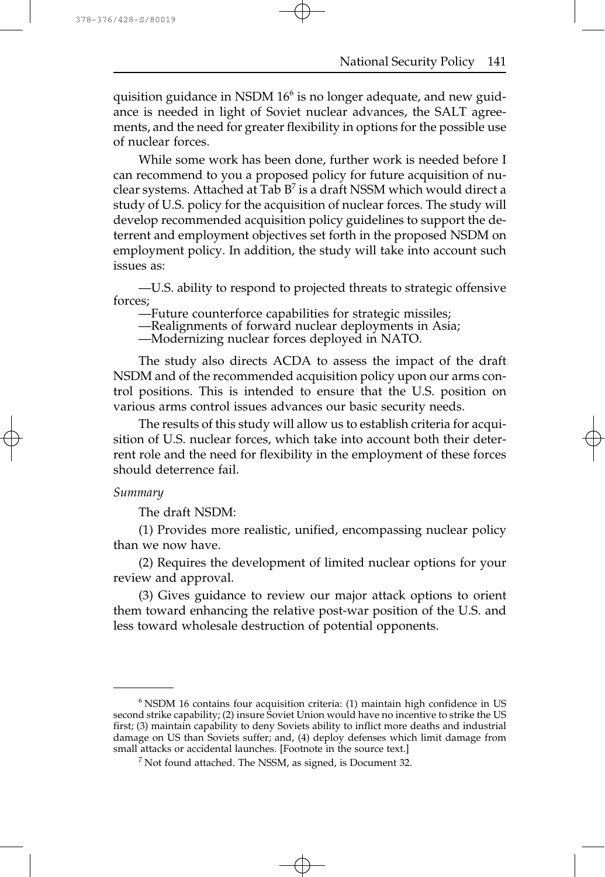quisition guidance in NSDM  $16<sup>6</sup>$  is no longer adequate, and new guidance is needed in light of Soviet nuclear advances, the SALT agreements, and the need for greater flexibility in options for the possible use of nuclear forces.

While some work has been done, further work is needed before I can recommend to you a proposed policy for future acquisition of nuclear systems. Attached at Tab  $B^7$  is a draft NSSM which would direct a study of U.S. policy for the acquisition of nuclear forces. The study will develop recommended acquisition policy guidelines to support the deterrent and employment objectives set forth in the proposed NSDM on employment policy. In addition, the study will take into account such issues as:

—U.S. ability to respond to projected threats to strategic offensive forces;

—Future counterforce capabilities for strategic missiles;

—Realignments of forward nuclear deployments in Asia;

—Modernizing nuclear forces deployed in NATO.

The study also directs ACDA to assess the impact of the draft NSDM and of the recommended acquisition policy upon our arms control positions. This is intended to ensure that the U.S. position on various arms control issues advances our basic security needs.

The results of this study will allow us to establish criteria for acquisition of U.S. nuclear forces, which take into account both their deterrent role and the need for flexibility in the employment of these forces should deterrence fail.

#### *Summary*

The draft NSDM:

(1) Provides more realistic, unified, encompassing nuclear policy than we now have.

(2) Requires the development of limited nuclear options for your review and approval.

(3) Gives guidance to review our major attack options to orient them toward enhancing the relative post-war position of the U.S. and less toward wholesale destruction of potential opponents.

 $6$  NSDM 16 contains four acquisition criteria: (1) maintain high confidence in US second strike capability; (2) insure Soviet Union would have no incentive to strike the US first; (3) maintain capability to deny Soviets ability to inflict more deaths and industrial damage on US than Soviets suffer; and, (4) deploy defenses which limit damage from small attacks or accidental launches. [Footnote in the source text.]

<sup>7</sup> Not found attached. The NSSM, as signed, is Document 32.